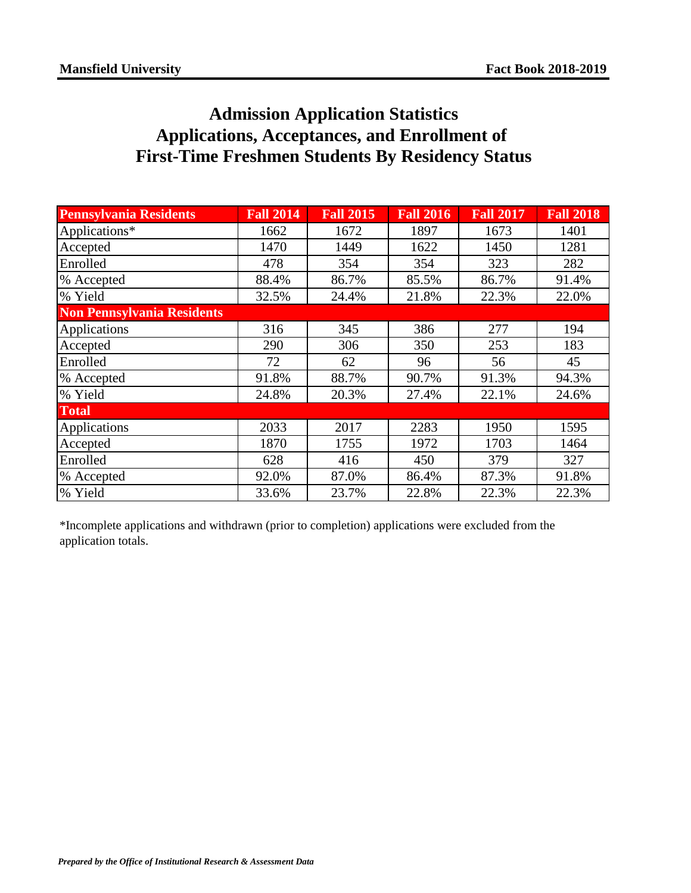## **Admission Application Statistics Applications, Acceptances, and Enrollment of First-Time Freshmen Students By Residency Status**

| <b>Pennsylvania Residents</b> | <b>Fall 2014</b> | <b>Fall 2015</b> | <b>Fall 2016</b> | <b>Fall 2017</b> | <b>Fall 2018</b> |
|-------------------------------|------------------|------------------|------------------|------------------|------------------|
| Applications*                 | 1662             | 1672             | 1897             | 1673             | 1401             |
| Accepted                      | 1470             | 1449             | 1622             | 1450             | 1281             |
| Enrolled                      | 478              | 354              | 354              | 323              | 282              |
| % Accepted                    | 88.4%            | 86.7%            | 85.5%            | 86.7%            | 91.4%            |
| % Yield                       | 32.5%            | 24.4%            | 21.8%            | 22.3%            | 22.0%            |
| Non Pennsylvania Residents    |                  |                  |                  |                  |                  |
| Applications                  | 316              | 345              | 386              | 277              | 194              |
| Accepted                      | 290              | 306              | 350              | 253              | 183              |
| Enrolled                      | 72               | 62               | 96               | 56               | 45               |
| % Accepted                    | 91.8%            | 88.7%            | 90.7%            | 91.3%            | 94.3%            |
| % Yield                       | 24.8%            | 20.3%            | 27.4%            | 22.1%            | 24.6%            |
| <b>Total</b>                  |                  |                  |                  |                  |                  |
| Applications                  | 2033             | 2017             | 2283             | 1950             | 1595             |
| Accepted                      | 1870             | 1755             | 1972             | 1703             | 1464             |
| Enrolled                      | 628              | 416              | 450              | 379              | 327              |
| % Accepted                    | 92.0%            | 87.0%            | 86.4%            | 87.3%            | 91.8%            |
| % Yield                       | 33.6%            | 23.7%            | 22.8%            | 22.3%            | 22.3%            |

\*Incomplete applications and withdrawn (prior to completion) applications were excluded from the application totals.